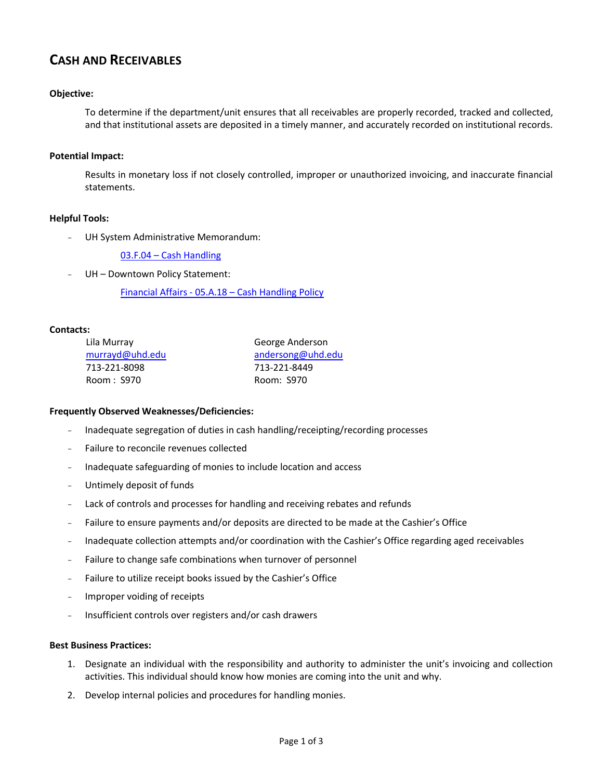# **CASH AND RECEIVABLES**

## **Objective:**

To determine if the department/unit ensures that all receivables are properly recorded, tracked and collected, and that institutional assets are deposited in a timely manner, and accurately recorded on institutional records.

#### **Potential Impact:**

Results in monetary loss if not closely controlled, improper or unauthorized invoicing, and inaccurate financial statements.

### **Helpful Tools:**

UH System Administrative Memorandum:

03.F.04 – [Cash Handling](http://www.uhsa.uh.edu/sam/3FicsalAffairs/3F4.pdf)

UH - Downtown Policy Statement:

Financial Affairs - 05.A.18 – [Cash Handling Policy](http://www.uhd.edu/about/hr/PS05A18.pdf)

#### **Contacts:**

| Lila Murray     |
|-----------------|
| murrayd@uhd.edu |
| 713-221-8098    |
| Room : S970     |

George Anderson [andersong@uhd.edu](mailto:andersong@uhd.edu) 713-221-8449 Room: S970

#### **Frequently Observed Weaknesses/Deficiencies:**

- Inadequate segregation of duties in cash handling/receipting/recording processes
- Failure to reconcile revenues collected
- Inadequate safeguarding of monies to include location and access
- Untimely deposit of funds
- Lack of controls and processes for handling and receiving rebates and refunds
- Failure to ensure payments and/or deposits are directed to be made at the Cashier's Office
- Inadequate collection attempts and/or coordination with the Cashier's Office regarding aged receivables
- Failure to change safe combinations when turnover of personnel
- Failure to utilize receipt books issued by the Cashier's Office
- Improper voiding of receipts
- Insufficient controls over registers and/or cash drawers

#### **Best Business Practices:**

- 1. Designate an individual with the responsibility and authority to administer the unit's invoicing and collection activities. This individual should know how monies are coming into the unit and why.
- 2. Develop internal policies and procedures for handling monies.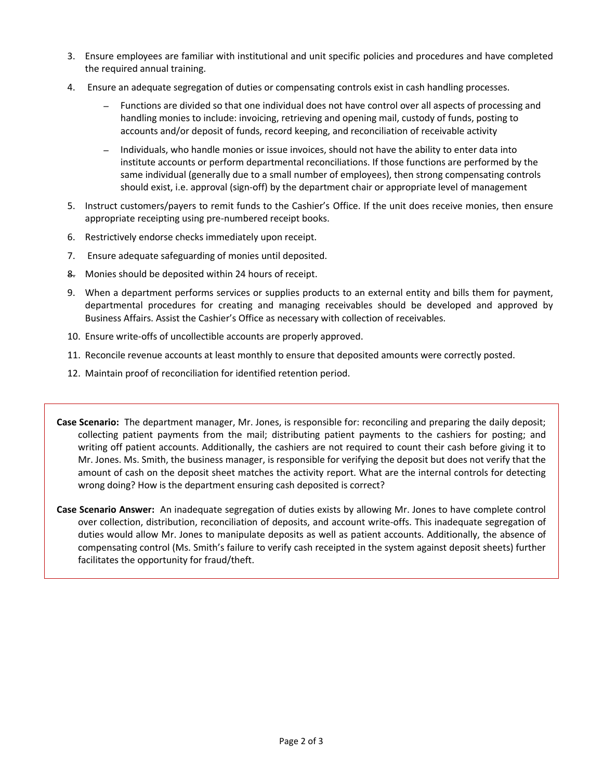- 3. Ensure employees are familiar with institutional and unit specific policies and procedures and have completed the required annual training.
- 4. Ensure an adequate segregation of duties or compensating controls exist in cash handling processes.
	- *–* Functions are divided so that one individual does not have control over all aspects of processing and handling monies to include: invoicing, retrieving and opening mail, custody of funds, posting to accounts and/or deposit of funds, record keeping, and reconciliation of receivable activity
	- *–* Individuals, who handle monies or issue invoices, should not have the ability to enter data into institute accounts or perform departmental reconciliations. If those functions are performed by the same individual (generally due to a small number of employees), then strong compensating controls should exist, i.e. approval (sign-off) by the department chair or appropriate level of management
- 5. Instruct customers/payers to remit funds to the Cashier's Office. If the unit does receive monies, then ensure appropriate receipting using pre-numbered receipt books.
- 6. Restrictively endorse checks immediately upon receipt.
- 7. Ensure adequate safeguarding of monies until deposited.
- 8. Monies should be deposited within 24 hours of receipt.
- 9. When a department performs services or supplies products to an external entity and bills them for payment, departmental procedures for creating and managing receivables should be developed and approved by Business Affairs. Assist the Cashier's Office as necessary with collection of receivables.
- 10. Ensure write-offs of uncollectible accounts are properly approved.
- 11. Reconcile revenue accounts at least monthly to ensure that deposited amounts were correctly posted.
- 12. Maintain proof of reconciliation for identified retention period.
- **Case Scenario:** The department manager, Mr. Jones, is responsible for: reconciling and preparing the daily deposit; collecting patient payments from the mail; distributing patient payments to the cashiers for posting; and writing off patient accounts. Additionally, the cashiers are not required to count their cash before giving it to Mr. Jones. Ms. Smith, the business manager, is responsible for verifying the deposit but does not verify that the amount of cash on the deposit sheet matches the activity report. What are the internal controls for detecting wrong doing? How is the department ensuring cash deposited is correct?
- **Case Scenario Answer:** An inadequate segregation of duties exists by allowing Mr. Jones to have complete control over collection, distribution, reconciliation of deposits, and account write-offs. This inadequate segregation of duties would allow Mr. Jones to manipulate deposits as well as patient accounts. Additionally, the absence of compensating control (Ms. Smith's failure to verify cash receipted in the system against deposit sheets) further facilitates the opportunity for fraud/theft.